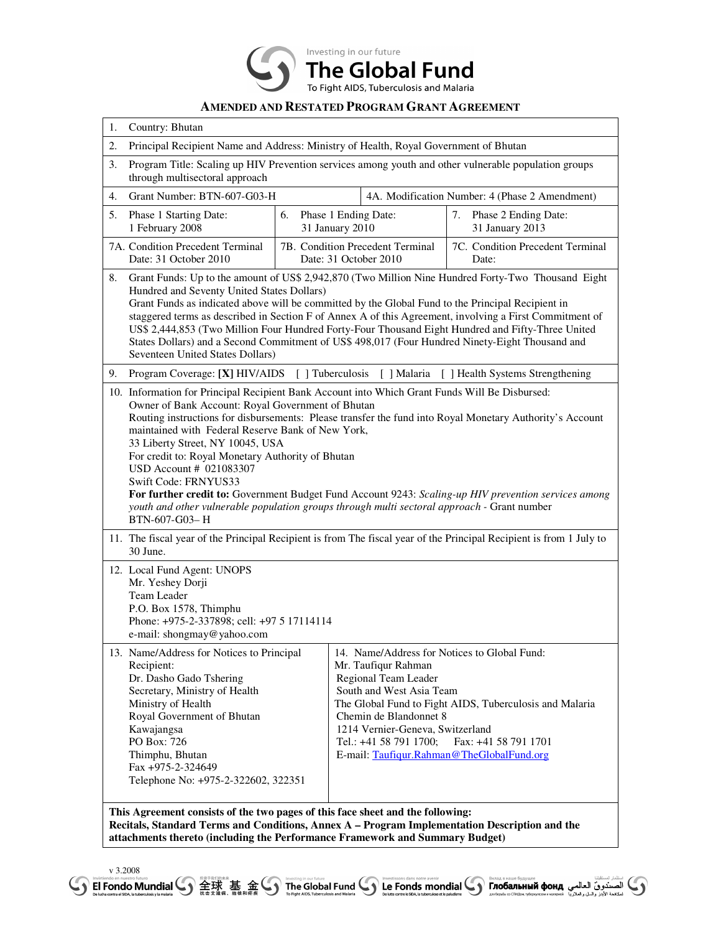

## **AMENDED AND RESTATED PROGRAM GRANT AGREEMENT**

| 1. | Country: Bhutan                                                                                                                                                                                                                                                                                                                                                                                                                                                                                                                                                                                                                                                                          |  |                                                                                                                                                                                                                                                              |                                                                                 |  |
|----|------------------------------------------------------------------------------------------------------------------------------------------------------------------------------------------------------------------------------------------------------------------------------------------------------------------------------------------------------------------------------------------------------------------------------------------------------------------------------------------------------------------------------------------------------------------------------------------------------------------------------------------------------------------------------------------|--|--------------------------------------------------------------------------------------------------------------------------------------------------------------------------------------------------------------------------------------------------------------|---------------------------------------------------------------------------------|--|
| 2. | Principal Recipient Name and Address: Ministry of Health, Royal Government of Bhutan                                                                                                                                                                                                                                                                                                                                                                                                                                                                                                                                                                                                     |  |                                                                                                                                                                                                                                                              |                                                                                 |  |
| 3. | Program Title: Scaling up HIV Prevention services among youth and other vulnerable population groups<br>through multisectoral approach                                                                                                                                                                                                                                                                                                                                                                                                                                                                                                                                                   |  |                                                                                                                                                                                                                                                              |                                                                                 |  |
| 4. | Grant Number: BTN-607-G03-H<br>4A. Modification Number: 4 (Phase 2 Amendment)                                                                                                                                                                                                                                                                                                                                                                                                                                                                                                                                                                                                            |  |                                                                                                                                                                                                                                                              |                                                                                 |  |
| 5. | Phase 1 Starting Date:<br>6.<br>1 February 2008                                                                                                                                                                                                                                                                                                                                                                                                                                                                                                                                                                                                                                          |  | Phase 1 Ending Date:<br>31 January 2010                                                                                                                                                                                                                      | 7. Phase 2 Ending Date:<br>31 January 2013                                      |  |
|    | 7A. Condition Precedent Terminal<br>Date: 31 October 2010                                                                                                                                                                                                                                                                                                                                                                                                                                                                                                                                                                                                                                |  | 7B. Condition Precedent Terminal<br>Date: 31 October 2010                                                                                                                                                                                                    | 7C. Condition Precedent Terminal<br>Date:                                       |  |
| 8. | Grant Funds: Up to the amount of US\$ 2,942,870 (Two Million Nine Hundred Forty-Two Thousand Eight<br>Hundred and Seventy United States Dollars)<br>Grant Funds as indicated above will be committed by the Global Fund to the Principal Recipient in<br>staggered terms as described in Section F of Annex A of this Agreement, involving a First Commitment of<br>US\$ 2,444,853 (Two Million Four Hundred Forty-Four Thousand Eight Hundred and Fifty-Three United<br>States Dollars) and a Second Commitment of US\$ 498,017 (Four Hundred Ninety-Eight Thousand and<br>Seventeen United States Dollars)                                                                             |  |                                                                                                                                                                                                                                                              |                                                                                 |  |
| 9. | Program Coverage: [X] HIV/AIDS [] Tuberculosis<br>[ ] Malaria<br>[ ] Health Systems Strengthening                                                                                                                                                                                                                                                                                                                                                                                                                                                                                                                                                                                        |  |                                                                                                                                                                                                                                                              |                                                                                 |  |
|    | 10. Information for Principal Recipient Bank Account into Which Grant Funds Will Be Disbursed:<br>Owner of Bank Account: Royal Government of Bhutan<br>Routing instructions for disbursements: Please transfer the fund into Royal Monetary Authority's Account<br>maintained with Federal Reserve Bank of New York,<br>33 Liberty Street, NY 10045, USA<br>For credit to: Royal Monetary Authority of Bhutan<br>USD Account # 021083307<br>Swift Code: FRNYUS33<br>For further credit to: Government Budget Fund Account 9243: Scaling-up HIV prevention services among<br>youth and other vulnerable population groups through multi sectoral approach - Grant number<br>BTN-607-G03-H |  |                                                                                                                                                                                                                                                              |                                                                                 |  |
|    | 11. The fiscal year of the Principal Recipient is from The fiscal year of the Principal Recipient is from 1 July to<br>30 June.                                                                                                                                                                                                                                                                                                                                                                                                                                                                                                                                                          |  |                                                                                                                                                                                                                                                              |                                                                                 |  |
|    | 12. Local Fund Agent: UNOPS<br>Mr. Yeshey Dorji<br>Team Leader<br>P.O. Box 1578, Thimphu<br>Phone: +975-2-337898; cell: +97 5 17114114<br>e-mail: shongmay@yahoo.com                                                                                                                                                                                                                                                                                                                                                                                                                                                                                                                     |  |                                                                                                                                                                                                                                                              |                                                                                 |  |
|    | 13. Name/Address for Notices to Principal<br>Recipient:<br>Dr. Dasho Gado Tshering<br>Secretary, Ministry of Health<br>Ministry of Health<br>Royal Government of Bhutan<br>Kawajangsa<br>PO Box: 726<br>Thimphu, Bhutan<br>Fax +975-2-324649<br>Telephone No: +975-2-322602, 322351                                                                                                                                                                                                                                                                                                                                                                                                      |  | 14. Name/Address for Notices to Global Fund:<br>Mr. Taufiqur Rahman<br>Regional Team Leader<br>South and West Asia Team<br>Chemin de Blandonnet 8<br>1214 Vernier-Geneva, Switzerland<br>Tel.: +41 58 791 1700;<br>E-mail: Taufiqur.Rahman@TheGlobalFund.org | The Global Fund to Fight AIDS, Tuberculosis and Malaria<br>Fax: +41 58 791 1701 |  |

**This Agreement consists of the two pages of this face sheet and the following: Recitals, Standard Terms and Conditions, Annex A – Program Implementation Description and the attachments thereto (including the Performance Framework and Summary Budget)**

V 3.2008<br>Given the Global Fund ( ) and the set of the Global Fund ( ) and the set of the Signary of the Signary of the S<br>Given the Signary of the Global Fund ( ) and the set of the Clobal Fund ( ) and the set of the Signa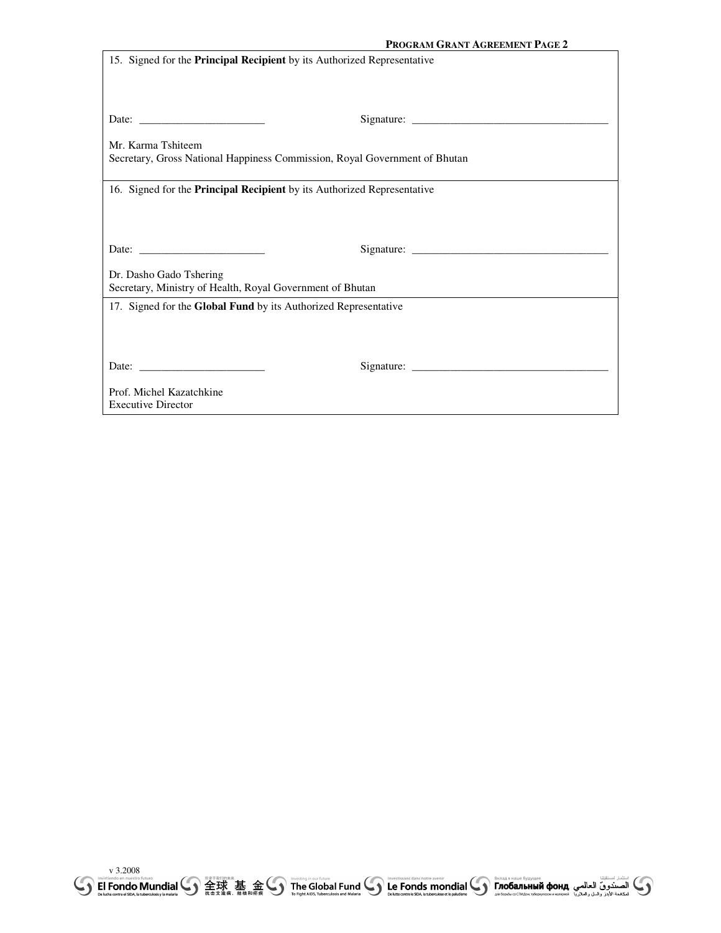|                                                                            | PROGRAM GRANT AGREEMENT PAGE 2                                                                                                                                                                                                                                                                                                                                                                                                                   |  |  |  |
|----------------------------------------------------------------------------|--------------------------------------------------------------------------------------------------------------------------------------------------------------------------------------------------------------------------------------------------------------------------------------------------------------------------------------------------------------------------------------------------------------------------------------------------|--|--|--|
| 15. Signed for the Principal Recipient by its Authorized Representative    |                                                                                                                                                                                                                                                                                                                                                                                                                                                  |  |  |  |
|                                                                            |                                                                                                                                                                                                                                                                                                                                                                                                                                                  |  |  |  |
|                                                                            |                                                                                                                                                                                                                                                                                                                                                                                                                                                  |  |  |  |
|                                                                            |                                                                                                                                                                                                                                                                                                                                                                                                                                                  |  |  |  |
|                                                                            |                                                                                                                                                                                                                                                                                                                                                                                                                                                  |  |  |  |
| Mr. Karma Tshiteem                                                         |                                                                                                                                                                                                                                                                                                                                                                                                                                                  |  |  |  |
| Secretary, Gross National Happiness Commission, Royal Government of Bhutan |                                                                                                                                                                                                                                                                                                                                                                                                                                                  |  |  |  |
|                                                                            |                                                                                                                                                                                                                                                                                                                                                                                                                                                  |  |  |  |
| 16. Signed for the Principal Recipient by its Authorized Representative    |                                                                                                                                                                                                                                                                                                                                                                                                                                                  |  |  |  |
|                                                                            |                                                                                                                                                                                                                                                                                                                                                                                                                                                  |  |  |  |
|                                                                            |                                                                                                                                                                                                                                                                                                                                                                                                                                                  |  |  |  |
| Date: $\frac{1}{\sqrt{1-\frac{1}{2}} \cdot \frac{1}{2}}$                   |                                                                                                                                                                                                                                                                                                                                                                                                                                                  |  |  |  |
|                                                                            |                                                                                                                                                                                                                                                                                                                                                                                                                                                  |  |  |  |
| Dr. Dasho Gado Tshering                                                    |                                                                                                                                                                                                                                                                                                                                                                                                                                                  |  |  |  |
| Secretary, Ministry of Health, Royal Government of Bhutan                  |                                                                                                                                                                                                                                                                                                                                                                                                                                                  |  |  |  |
| 17. Signed for the Global Fund by its Authorized Representative            |                                                                                                                                                                                                                                                                                                                                                                                                                                                  |  |  |  |
|                                                                            |                                                                                                                                                                                                                                                                                                                                                                                                                                                  |  |  |  |
|                                                                            |                                                                                                                                                                                                                                                                                                                                                                                                                                                  |  |  |  |
| Date: $\qquad \qquad$                                                      | Signature: $\frac{1}{\sqrt{1-\frac{1}{2}} \cdot \frac{1}{2} \cdot \frac{1}{2} \cdot \frac{1}{2} \cdot \frac{1}{2} \cdot \frac{1}{2} \cdot \frac{1}{2} \cdot \frac{1}{2} \cdot \frac{1}{2} \cdot \frac{1}{2} \cdot \frac{1}{2} \cdot \frac{1}{2} \cdot \frac{1}{2} \cdot \frac{1}{2} \cdot \frac{1}{2} \cdot \frac{1}{2} \cdot \frac{1}{2} \cdot \frac{1}{2} \cdot \frac{1}{2} \cdot \frac{1}{2} \cdot \frac{1}{2} \cdot \frac{1}{2} \cdot \frac$ |  |  |  |
|                                                                            |                                                                                                                                                                                                                                                                                                                                                                                                                                                  |  |  |  |
| Prof. Michel Kazatchkine                                                   |                                                                                                                                                                                                                                                                                                                                                                                                                                                  |  |  |  |
| <b>Executive Director</b>                                                  |                                                                                                                                                                                                                                                                                                                                                                                                                                                  |  |  |  |